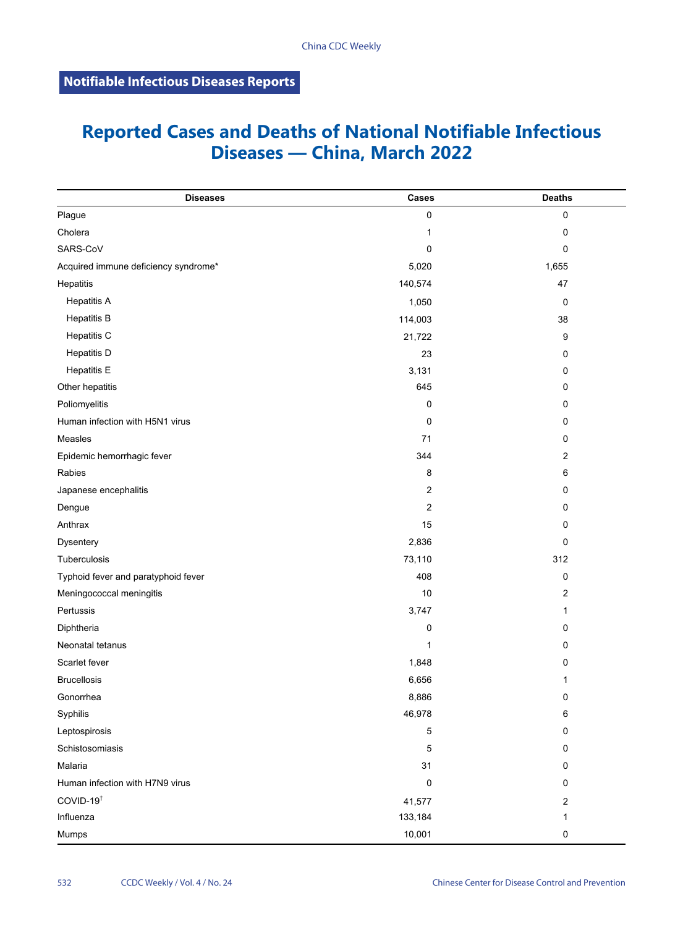## **Reported Cases and Deaths of National Notifiable Infectious Diseases — China, March 2022**

| <b>Diseases</b>                      | Cases   | <b>Deaths</b>  |
|--------------------------------------|---------|----------------|
| Plague                               | 0       | 0              |
| Cholera                              | 1       | $\mathbf 0$    |
| SARS-CoV                             | 0       | 0              |
| Acquired immune deficiency syndrome* | 5,020   | 1,655          |
| Hepatitis                            | 140,574 | 47             |
| <b>Hepatitis A</b>                   | 1,050   | 0              |
| <b>Hepatitis B</b>                   | 114,003 | 38             |
| Hepatitis C                          | 21,722  | 9              |
| <b>Hepatitis D</b>                   | 23      | 0              |
| <b>Hepatitis E</b>                   | 3,131   | 0              |
| Other hepatitis                      | 645     | 0              |
| Poliomyelitis                        | 0       | 0              |
| Human infection with H5N1 virus      | 0       | 0              |
| Measles                              | 71      | 0              |
| Epidemic hemorrhagic fever           | 344     | 2              |
| Rabies                               | 8       | 6              |
| Japanese encephalitis                | 2       | 0              |
| Dengue                               | 2       | 0              |
| Anthrax                              | 15      | 0              |
| Dysentery                            | 2,836   | $\mathbf 0$    |
| Tuberculosis                         | 73,110  | 312            |
| Typhoid fever and paratyphoid fever  | 408     | 0              |
| Meningococcal meningitis             | 10      | 2              |
| Pertussis                            | 3,747   | 1              |
| Diphtheria                           | 0       | 0              |
| Neonatal tetanus                     | 1       | 0              |
| Scarlet fever                        | 1,848   | 0              |
| <b>Brucellosis</b>                   | 6,656   | 1              |
| Gonorrhea                            | 8,886   | 0              |
| Syphilis                             | 46,978  | $\,6\,$        |
| Leptospirosis                        | 5       | 0              |
| Schistosomiasis                      | 5       | $\pmb{0}$      |
| Malaria                              | 31      | 0              |
| Human infection with H7N9 virus      | 0       | 0              |
| COVID-19 <sup>t</sup>                | 41,577  | $\overline{c}$ |
| Influenza                            | 133,184 | 1              |
| Mumps                                | 10,001  | 0              |